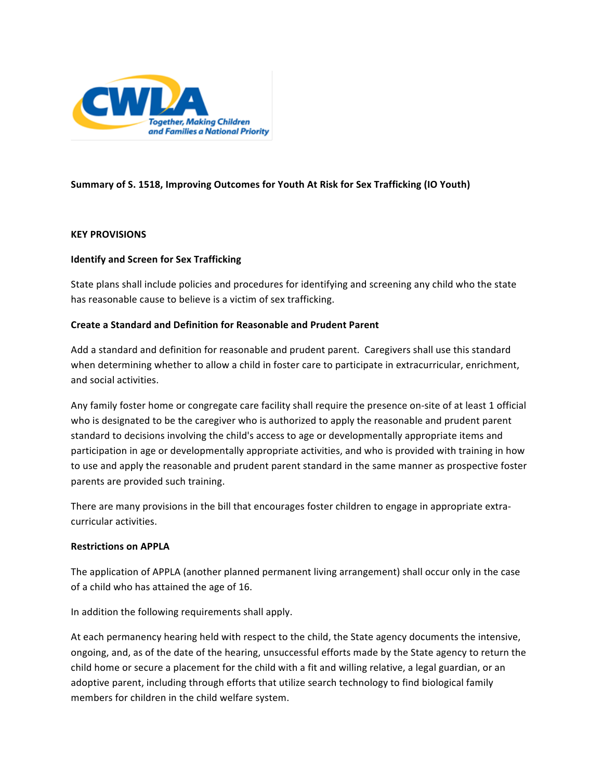

# **Summary of S. 1518, Improving Outcomes for Youth At Risk for Sex Trafficking (IO Youth)**

## **KEY PROVISIONS**

## **Identify and Screen for Sex Trafficking**

State plans shall include policies and procedures for identifying and screening any child who the state has reasonable cause to believe is a victim of sex trafficking.

## **Create a Standard and Definition for Reasonable and Prudent Parent**

Add a standard and definition for reasonable and prudent parent. Caregivers shall use this standard when determining whether to allow a child in foster care to participate in extracurricular, enrichment, and social activities.

Any family foster home or congregate care facility shall require the presence on‐site of at least 1 official who is designated to be the caregiver who is authorized to apply the reasonable and prudent parent standard to decisions involving the child's access to age or developmentally appropriate items and participation in age or developmentally appropriate activities, and who is provided with training in how to use and apply the reasonable and prudent parent standard in the same manner as prospective foster parents are provided such training.

There are many provisions in the bill that encourages foster children to engage in appropriate extra‐ curricular activities.

#### **Restrictions on APPLA**

The application of APPLA (another planned permanent living arrangement) shall occur only in the case of a child who has attained the age of 16.

In addition the following requirements shall apply.

At each permanency hearing held with respect to the child, the State agency documents the intensive, ongoing, and, as of the date of the hearing, unsuccessful efforts made by the State agency to return the child home or secure a placement for the child with a fit and willing relative, a legal guardian, or an adoptive parent, including through efforts that utilize search technology to find biological family members for children in the child welfare system.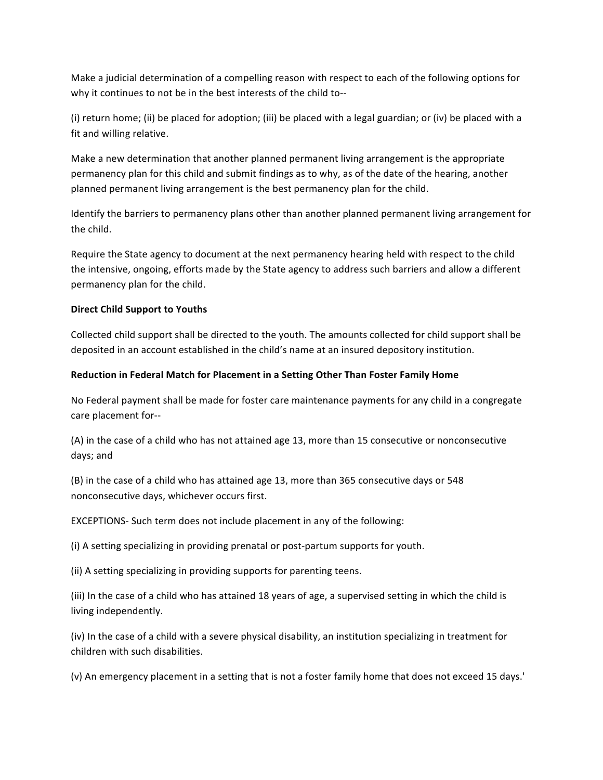Make a judicial determination of a compelling reason with respect to each of the following options for why it continues to not be in the best interests of the child to‐‐

(i) return home; (ii) be placed for adoption; (iii) be placed with a legal guardian; or (iv) be placed with a fit and willing relative.

Make a new determination that another planned permanent living arrangement is the appropriate permanency plan for this child and submit findings as to why, as of the date of the hearing, another planned permanent living arrangement is the best permanency plan for the child.

Identify the barriers to permanency plans other than another planned permanent living arrangement for the child.

Require the State agency to document at the next permanency hearing held with respect to the child the intensive, ongoing, efforts made by the State agency to address such barriers and allow a different permanency plan for the child.

## **Direct Child Support to Youths**

Collected child support shall be directed to the youth. The amounts collected for child support shall be deposited in an account established in the child's name at an insured depository institution.

## **Reduction in Federal Match for Placement in a Setting Other Than Foster Family Home**

No Federal payment shall be made for foster care maintenance payments for any child in a congregate care placement for‐‐

(A) in the case of a child who has not attained age 13, more than 15 consecutive or nonconsecutive days; and

(B) in the case of a child who has attained age 13, more than 365 consecutive days or 548 nonconsecutive days, whichever occurs first.

EXCEPTIONS‐ Such term does not include placement in any of the following:

(i) A setting specializing in providing prenatal or post‐partum supports for youth.

(ii) A setting specializing in providing supports for parenting teens.

(iii) In the case of a child who has attained 18 years of age, a supervised setting in which the child is living independently.

(iv) In the case of a child with a severe physical disability, an institution specializing in treatment for children with such disabilities.

(v) An emergency placement in a setting that is not a foster family home that does not exceed 15 days.'